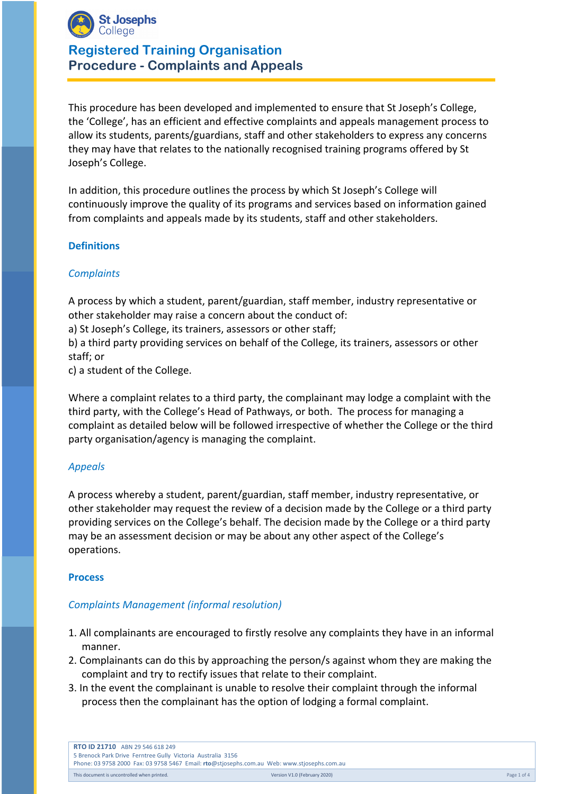

This procedure has been developed and implemented to ensure that St Joseph's College, the 'College', has an efficient and effective complaints and appeals management process to allow its students, parents/guardians, staff and other stakeholders to express any concerns they may have that relates to the nationally recognised training programs offered by St Joseph's College.

In addition, this procedure outlines the process by which St Joseph's College will continuously improve the quality of its programs and services based on information gained from complaints and appeals made by its students, staff and other stakeholders.

## **Definitions**

## *Complaints*

A process by which a student, parent/guardian, staff member, industry representative or other stakeholder may raise a concern about the conduct of:

a) St Joseph's College, its trainers, assessors or other staff;

b) a third party providing services on behalf of the College, its trainers, assessors or other staff; or

c) a student of the College.

Where a complaint relates to a third party, the complainant may lodge a complaint with the third party, with the College's Head of Pathways, or both. The process for managing a complaint as detailed below will be followed irrespective of whether the College or the third party organisation/agency is managing the complaint.

### *Appeals*

A process whereby a student, parent/guardian, staff member, industry representative, or other stakeholder may request the review of a decision made by the College or a third party providing services on the College's behalf. The decision made by the College or a third party may be an assessment decision or may be about any other aspect of the College's operations.

### **Process**

## *Complaints Management (informal resolution)*

- 1. All complainants are encouraged to firstly resolve any complaints they have in an informal manner.
- 2. Complainants can do this by approaching the person/s against whom they are making the complaint and try to rectify issues that relate to their complaint.
- 3. In the event the complainant is unable to resolve their complaint through the informal process then the complainant has the option of lodging a formal complaint.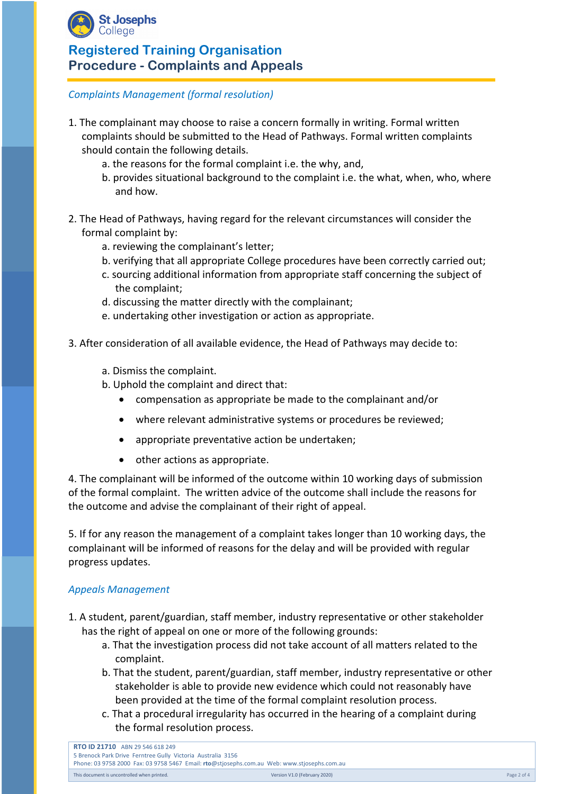

## *Complaints Management (formal resolution)*

- 1. The complainant may choose to raise a concern formally in writing. Formal written complaints should be submitted to the Head of Pathways. Formal written complaints should contain the following details.
	- a. the reasons for the formal complaint i.e. the why, and,
	- b. provides situational background to the complaint i.e. the what, when, who, where and how.
- 2. The Head of Pathways, having regard for the relevant circumstances will consider the formal complaint by:
	- a. reviewing the complainant's letter;
	- b. verifying that all appropriate College procedures have been correctly carried out;
	- c. sourcing additional information from appropriate staff concerning the subject of the complaint;
	- d. discussing the matter directly with the complainant;
	- e. undertaking other investigation or action as appropriate.
- 3. After consideration of all available evidence, the Head of Pathways may decide to:
	- a. Dismiss the complaint.
	- b. Uphold the complaint and direct that:
		- compensation as appropriate be made to the complainant and/or
		- where relevant administrative systems or procedures be reviewed;
		- appropriate preventative action be undertaken;
		- other actions as appropriate.

4. The complainant will be informed of the outcome within 10 working days of submission of the formal complaint. The written advice of the outcome shall include the reasons for the outcome and advise the complainant of their right of appeal.

5. If for any reason the management of a complaint takes longer than 10 working days, the complainant will be informed of reasons for the delay and will be provided with regular progress updates.

## *Appeals Management*

- 1. A student, parent/guardian, staff member, industry representative or other stakeholder has the right of appeal on one or more of the following grounds:
	- a. That the investigation process did not take account of all matters related to the complaint.
	- b. That the student, parent/guardian, staff member, industry representative or other stakeholder is able to provide new evidence which could not reasonably have been provided at the time of the formal complaint resolution process.
	- c. That a procedural irregularity has occurred in the hearing of a complaint during the formal resolution process.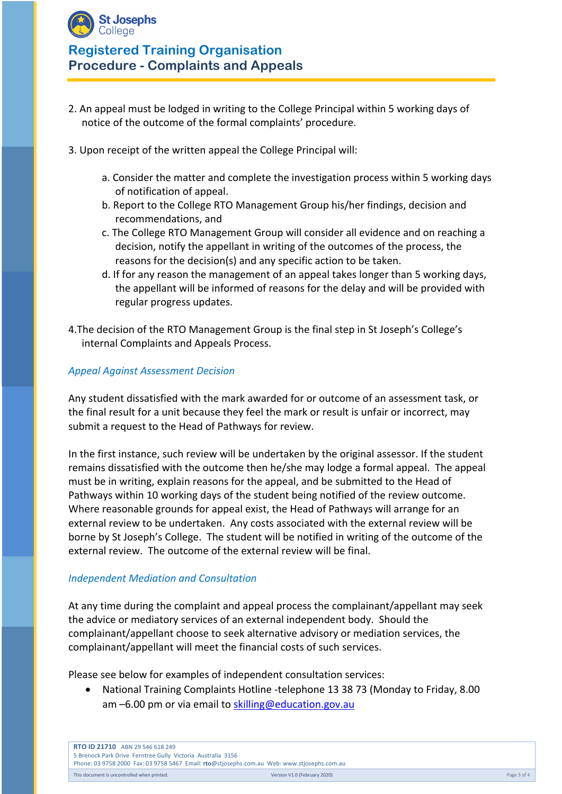

- 2. An appeal must be lodged in writing to the College Principal within 5 working days of notice of the outcome of the formal complaints' procedure.
- 3. Upon receipt of the written appeal the College Principal will:
	- a. Consider the matter and complete the investigation process within 5 working days of notification of appeal.
	- b. Report to the College RTO Management Group his/her findings, decision and recommendations, and
	- c. The College RTO Management Group will consider all evidence and on reaching a decision, notify the appellant in writing of the outcomes of the process, the reasons for the decision(s) and any specific action to be taken.
	- d. If for any reason the management of an appeal takes longer than 5 working days, the appellant will be informed of reasons for the delay and will be provided with regular progress updates.
- 4.The decision of the RTO Management Group is the final step in St Joseph's College's internal Complaints and Appeals Process.

## *Appeal Against Assessment Decision*

Any student dissatisfied with the mark awarded for or outcome of an assessment task, or the final result for a unit because they feel the mark or result is unfair or incorrect, may submit a request to the Head of Pathways for review.

In the first instance, such review will be undertaken by the original assessor. If the student remains dissatisfied with the outcome then he/she may lodge a formal appeal. The appeal must be in writing, explain reasons for the appeal, and be submitted to the Head of Pathways within 10 working days of the student being notified of the review outcome. Where reasonable grounds for appeal exist, the Head of Pathways will arrange for an external review to be undertaken. Any costs associated with the external review will be borne by St Joseph's College. The student will be notified in writing of the outcome of the external review. The outcome of the external review will be final.

### *Independent Mediation and Consultation*

At any time during the complaint and appeal process the complainant/appellant may seek the advice or mediatory services of an external independent body. Should the complainant/appellant choose to seek alternative advisory or mediation services, the complainant/appellant will meet the financial costs of such services.

Please see below for examples of independent consultation services:

• National Training Complaints Hotline -telephone 13 38 73 (Monday to Friday, 8.00 am –6.00 pm or via email to skilling@education.gov.au